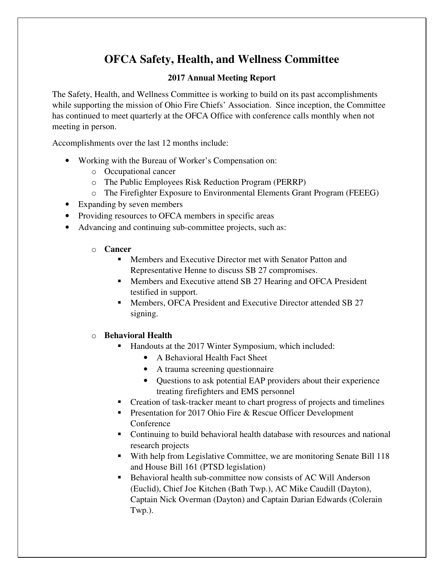# **OFCA Safety, Health, and Wellness Committee**

### **2017 Annual Meeting Report**

The Safety, Health, and Wellness Committee is working to build on its past accomplishments while supporting the mission of Ohio Fire Chiefs' Association. Since inception, the Committee has continued to meet quarterly at the OFCA Office with conference calls monthly when not meeting in person.

Accomplishments over the last 12 months include:

- Working with the Bureau of Worker's Compensation on:
	- o Occupational cancer
	- o The Public Employees Risk Reduction Program (PERRP)
	- o The Firefighter Exposure to Environmental Elements Grant Program (FEEEG)
- Expanding by seven members
- Providing resources to OFCA members in specific areas
- Advancing and continuing sub-committee projects, such as:
	- o **Cancer** 
		- Members and Executive Director met with Senator Patton and Representative Henne to discuss SB 27 compromises.
		- **Members and Executive attend SB 27 Hearing and OFCA President** testified in support.
		- Members, OFCA President and Executive Director attended SB 27 signing.

#### o **Behavioral Health**

- Handouts at the 2017 Winter Symposium, which included:
	- A Behavioral Health Fact Sheet
	- A trauma screening questionnaire
	- Questions to ask potential EAP providers about their experience treating firefighters and EMS personnel
- Creation of task-tracker meant to chart progress of projects and timelines
- **Presentation for 2017 Ohio Fire & Rescue Officer Development** Conference
- Continuing to build behavioral health database with resources and national research projects
- With help from Legislative Committee, we are monitoring Senate Bill 118 and House Bill 161 (PTSD legislation)
- Behavioral health sub-committee now consists of AC Will Anderson (Euclid), Chief Joe Kitchen (Bath Twp.), AC Mike Caudill (Dayton), Captain Nick Overman (Dayton) and Captain Darian Edwards (Colerain Twp.).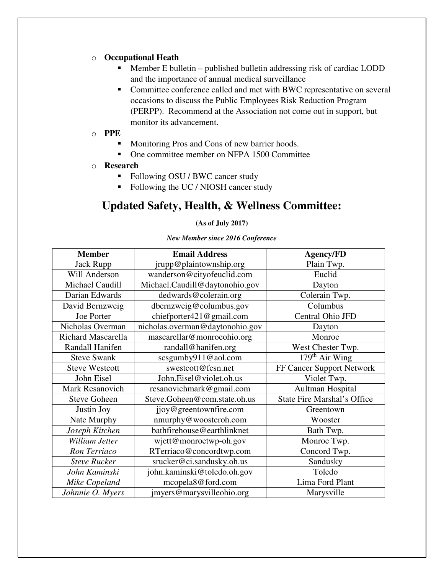#### o **Occupational Heath**

- Member E bulletin published bulletin addressing risk of cardiac LODD and the importance of annual medical surveillance
- Committee conference called and met with BWC representative on several occasions to discuss the Public Employees Risk Reduction Program (PERPP). Recommend at the Association not come out in support, but monitor its advancement.

#### o **PPE**

- **Monitoring Pros and Cons of new barrier hoods.**
- One committee member on NFPA 1500 Committee

#### o **Research**

- Following OSU / BWC cancer study
- Following the UC / NIOSH cancer study

## **Updated Safety, Health, & Wellness Committee:**

#### **(As of July 2017)**

#### *New Member since 2016 Conference*

| <b>Member</b>             | <b>Email Address</b>            | <b>Agency/FD</b>                   |
|---------------------------|---------------------------------|------------------------------------|
| Jack Rupp                 | jrupp@plaintownship.org         | Plain Twp.                         |
| Will Anderson             | wanderson@cityofeuclid.com      | Euclid                             |
| Michael Caudill           | Michael.Caudill@daytonohio.gov  | Dayton                             |
| Darian Edwards            | dedwards@colerain.org           | Colerain Twp.                      |
| David Bernzweig           | dbernzweig@columbus.gov         | Columbus                           |
| Joe Porter                | chiefporter421@gmail.com        | Central Ohio JFD                   |
| Nicholas Overman          | nicholas.overman@daytonohio.gov | Dayton                             |
| <b>Richard Mascarella</b> | mascarellar@monroeohio.org      | Monroe                             |
| Randall Hanifen           | randall@hanifen.org             | West Chester Twp.                  |
| <b>Steve Swank</b>        | scsgumby911@aol.com             | $\overline{179^{th}}$ Air Wing     |
| <b>Steve Westcott</b>     | swestcott@fcsn.net              | FF Cancer Support Network          |
| John Eisel                | John.Eisel@violet.oh.us         | Violet Twp.                        |
| Mark Resanovich           | resanovichmark@gmail.com        | Aultman Hospital                   |
| <b>Steve Goheen</b>       | Steve.Goheen@com.state.oh.us    | <b>State Fire Marshal's Office</b> |
| Justin Joy                | jjoy@greentownfire.com          | Greentown                          |
| Nate Murphy               | nmurphy@woosteroh.com           | Wooster                            |
| Joseph Kitchen            | bathfirehouse@earthlinknet      | Bath Twp.                          |
| William Jetter            | wjett@monroetwp-oh.gov          | Monroe Twp.                        |
| Ron Terriaco              | RTerriaco@concordtwp.com        | Concord Twp.                       |
| <b>Steve Rucker</b>       | srucker@ci.sandusky.oh.us       | Sandusky                           |
| John Kaminski             | john.kaminski@toledo.oh.gov     | Toledo                             |
| Mike Copeland             | mcopela8@ford.com               | Lima Ford Plant                    |
| Johnnie O. Myers          | jmyers@marysvilleohio.org       | Marysville                         |